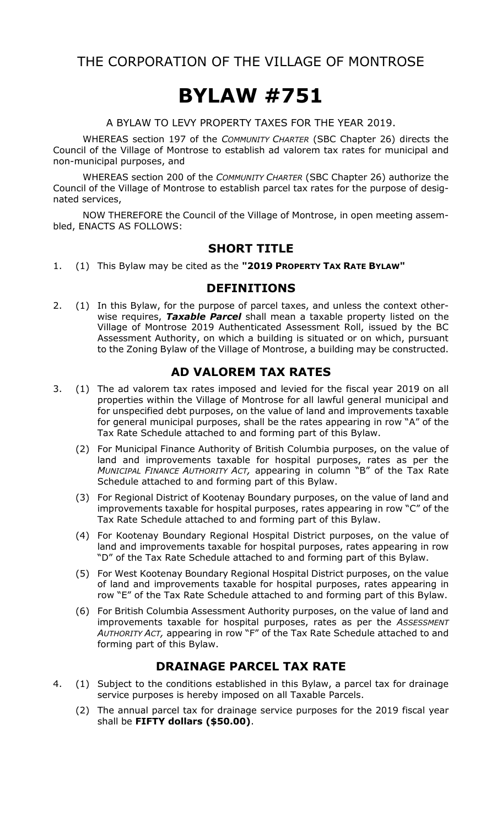## THE CORPORATION OF THE VILLAGE OF MONTROSE

# **BYLAW #751**

A BYLAW TO LEVY PROPERTY TAXES FOR THE YEAR 2019.

WHEREAS section 197 of the *COMMUNITY CHARTER* (SBC Chapter 26) directs the Council of the Village of Montrose to establish ad valorem tax rates for municipal and non-municipal purposes, and

WHEREAS section 200 of the *COMMUNITY CHARTER* (SBC Chapter 26) authorize the Council of the Village of Montrose to establish parcel tax rates for the purpose of designated services,

NOW THEREFORE the Council of the Village of Montrose, in open meeting assembled, ENACTS AS FOLLOWS:

#### **SHORT TITLE**

1. (1) This Bylaw may be cited as the **"2019 PROPERTY TAX RATE BYLAW"**

#### **DEFINITIONS**

2. (1) In this Bylaw, for the purpose of parcel taxes, and unless the context otherwise requires, *Taxable Parcel* shall mean a taxable property listed on the Village of Montrose 2019 Authenticated Assessment Roll, issued by the BC Assessment Authority, on which a building is situated or on which, pursuant to the Zoning Bylaw of the Village of Montrose, a building may be constructed.

#### **AD VALOREM TAX RATES**

- 3. (1) The ad valorem tax rates imposed and levied for the fiscal year 2019 on all properties within the Village of Montrose for all lawful general municipal and for unspecified debt purposes, on the value of land and improvements taxable for general municipal purposes, shall be the rates appearing in row "A" of the Tax Rate Schedule attached to and forming part of this Bylaw.
	- (2) For Municipal Finance Authority of British Columbia purposes, on the value of land and improvements taxable for hospital purposes, rates as per the *MUNICIPAL FINANCE AUTHORITY ACT,* appearing in column "B" of the Tax Rate Schedule attached to and forming part of this Bylaw.
	- (3) For Regional District of Kootenay Boundary purposes, on the value of land and improvements taxable for hospital purposes, rates appearing in row "C" of the Tax Rate Schedule attached to and forming part of this Bylaw.
	- (4) For Kootenay Boundary Regional Hospital District purposes, on the value of land and improvements taxable for hospital purposes, rates appearing in row "D" of the Tax Rate Schedule attached to and forming part of this Bylaw.
	- (5) For West Kootenay Boundary Regional Hospital District purposes, on the value of land and improvements taxable for hospital purposes, rates appearing in row "E" of the Tax Rate Schedule attached to and forming part of this Bylaw.
	- (6) For British Columbia Assessment Authority purposes, on the value of land and improvements taxable for hospital purposes, rates as per the *ASSESSMENT AUTHORITY ACT,* appearing in row "F" of the Tax Rate Schedule attached to and forming part of this Bylaw.

#### **DRAINAGE PARCEL TAX RATE**

- 4. (1) Subject to the conditions established in this Bylaw, a parcel tax for drainage service purposes is hereby imposed on all Taxable Parcels.
	- (2) The annual parcel tax for drainage service purposes for the 2019 fiscal year shall be **FIFTY dollars (\$50.00)**.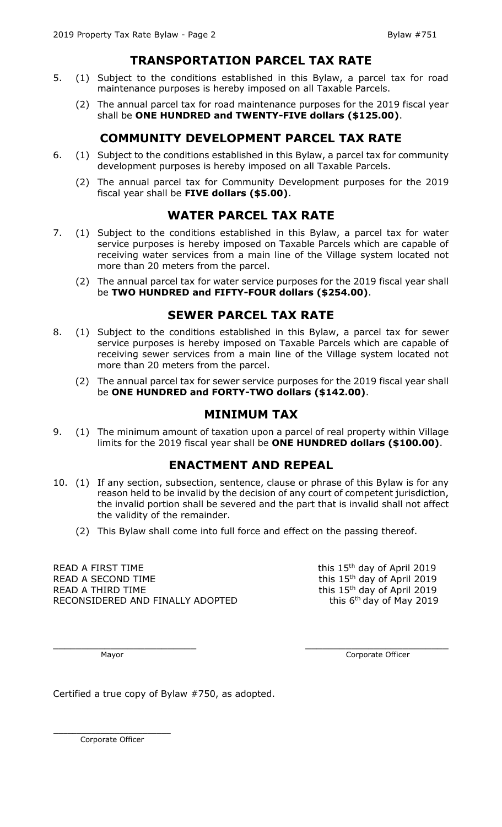#### **TRANSPORTATION PARCEL TAX RATE**

- 5. (1) Subject to the conditions established in this Bylaw, a parcel tax for road maintenance purposes is hereby imposed on all Taxable Parcels.
	- (2) The annual parcel tax for road maintenance purposes for the 2019 fiscal year shall be **ONE HUNDRED and TWENTY-FIVE dollars (\$125.00)**.

### **COMMUNITY DEVELOPMENT PARCEL TAX RATE**

- 6. (1) Subject to the conditions established in this Bylaw, a parcel tax for community development purposes is hereby imposed on all Taxable Parcels.
	- (2) The annual parcel tax for Community Development purposes for the 2019 fiscal year shall be **FIVE dollars (\$5.00)**.

#### **WATER PARCEL TAX RATE**

- 7. (1) Subject to the conditions established in this Bylaw, a parcel tax for water service purposes is hereby imposed on Taxable Parcels which are capable of receiving water services from a main line of the Village system located not more than 20 meters from the parcel.
	- (2) The annual parcel tax for water service purposes for the 2019 fiscal year shall be **TWO HUNDRED and FIFTY-FOUR dollars (\$254.00)**.

#### **SEWER PARCEL TAX RATE**

- 8. (1) Subject to the conditions established in this Bylaw, a parcel tax for sewer service purposes is hereby imposed on Taxable Parcels which are capable of receiving sewer services from a main line of the Village system located not more than 20 meters from the parcel.
	- (2) The annual parcel tax for sewer service purposes for the 2019 fiscal year shall be **ONE HUNDRED and FORTY-TWO dollars (\$142.00)**.

#### **MINIMUM TAX**

9. (1) The minimum amount of taxation upon a parcel of real property within Village limits for the 2019 fiscal year shall be **ONE HUNDRED dollars (\$100.00)**.

#### **ENACTMENT AND REPEAL**

- 10. (1) If any section, subsection, sentence, clause or phrase of this Bylaw is for any reason held to be invalid by the decision of any court of competent jurisdiction, the invalid portion shall be severed and the part that is invalid shall not affect the validity of the remainder.
	- (2) This Bylaw shall come into full force and effect on the passing thereof.

READ A FIRST TIME READ A SECOND TIME READ A THIRD TIME RECONSIDERED AND FINALLY ADOPTED this 15<sup>th</sup> day of April 2019 this 15<sup>th</sup> day of April 2019 this 15<sup>th</sup> day of April 2019 this  $6<sup>th</sup>$  day of May 2019

 $\_$  , and the contribution of the contribution of  $\_$  . The contribution of  $\_$  ,  $\_$  ,  $\_$  ,  $\_$  ,  $\_$  ,  $\_$  ,  $\_$  ,  $\_$  ,  $\_$  ,  $\_$  ,  $\_$  ,  $\_$  ,  $\_$  ,  $\_$  ,  $\_$  ,  $\_$  ,  $\_$  ,  $\_$  ,  $\_$  ,  $\_$  ,  $\_$  ,  $\_$  ,  $\_$  ,  $\_$  ,

Mayor **Community** Corporate Officer

Certified a true copy of Bylaw #750, as adopted.

\_\_\_\_\_\_\_\_\_\_\_\_\_\_\_\_\_\_\_\_\_\_\_\_\_ Corporate Officer